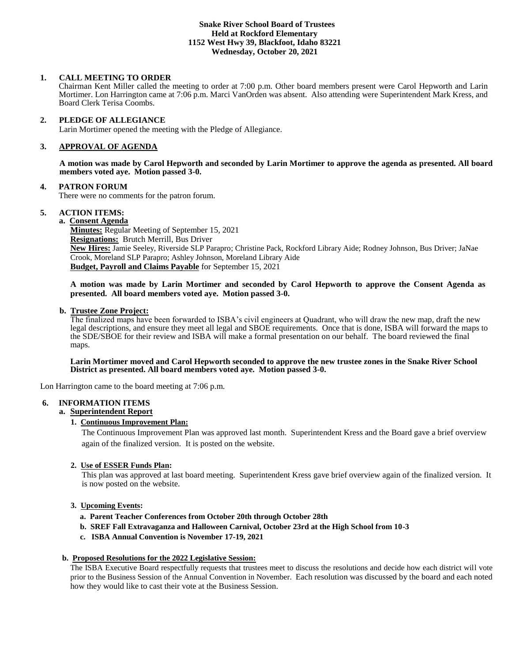#### **Snake River School Board of Trustees Held at Rockford Elementary 1152 West Hwy 39, Blackfoot, Idaho 83221 Wednesday, October 20, 2021**

## **1. CALL MEETING TO ORDER**

Chairman Kent Miller called the meeting to order at 7:00 p.m. Other board members present were Carol Hepworth and Larin Mortimer. Lon Harrington came at 7:06 p.m. Marci VanOrden was absent. Also attending were Superintendent Mark Kress, and Board Clerk Terisa Coombs.

## **2. PLEDGE OF ALLEGIANCE**

Larin Mortimer opened the meeting with the Pledge of Allegiance.

#### **3. APPROVAL OF AGENDA**

**A motion was made by Carol Hepworth and seconded by Larin Mortimer to approve the agenda as presented. All board members voted aye. Motion passed 3-0.**

#### **4. PATRON FORUM**

There were no comments for the patron forum.

## **5. ACTION ITEMS:**

**a. Consent Agenda**

**Minutes:** Regular Meeting of September 15, 2021 **Resignations:** Brutch Merrill, Bus Driver **New Hires:** Jamie Seeley, Riverside SLP Parapro; Christine Pack, Rockford Library Aide; Rodney Johnson, Bus Driver; JaNae Crook, Moreland SLP Parapro; Ashley Johnson, Moreland Library Aide **Budget, Payroll and Claims Payable** for September 15, 2021

**A motion was made by Larin Mortimer and seconded by Carol Hepworth to approve the Consent Agenda as presented. All board members voted aye. Motion passed 3-0.**

#### **b. Trustee Zone Project:**

The finalized maps have been forwarded to ISBA's civil engineers at Quadrant, who will draw the new map, draft the new legal descriptions, and ensure they meet all legal and SBOE requirements. Once that is done, ISBA will forward the maps to the SDE/SBOE for their review and ISBA will make a formal presentation on our behalf. The board reviewed the final maps.

#### **Larin Mortimer moved and Carol Hepworth seconded to approve the new trustee zones in the Snake River School District as presented. All board members voted aye. Motion passed 3-0.**

Lon Harrington came to the board meeting at 7:06 p.m.

# **6. INFORMATION ITEMS**

**a. Superintendent Report**

### **1. Continuous Improvement Plan:**

The Continuous Improvement Plan was approved last month. Superintendent Kress and the Board gave a brief overview again of the finalized version. It is posted on the website.

#### **2. Use of ESSER Funds Plan:**

This plan was approved at last board meeting. Superintendent Kress gave brief overview again of the finalized version. It is now posted on the website.

## **3. Upcoming Events:**

- **a. Parent Teacher Conferences from October 20th through October 28th**
- **b. SREF Fall Extravaganza and Halloween Carnival, October 23rd at the High School from 10-3**
- **c. ISBA Annual Convention is November 17-19, 2021**

#### **b. Proposed Resolutions for the 2022 Legislative Session:**

The ISBA Executive Board respectfully requests that trustees meet to discuss the resolutions and decide how each district will vote prior to the Business Session of the Annual Convention in November. Each resolution was discussed by the board and each noted how they would like to cast their vote at the Business Session.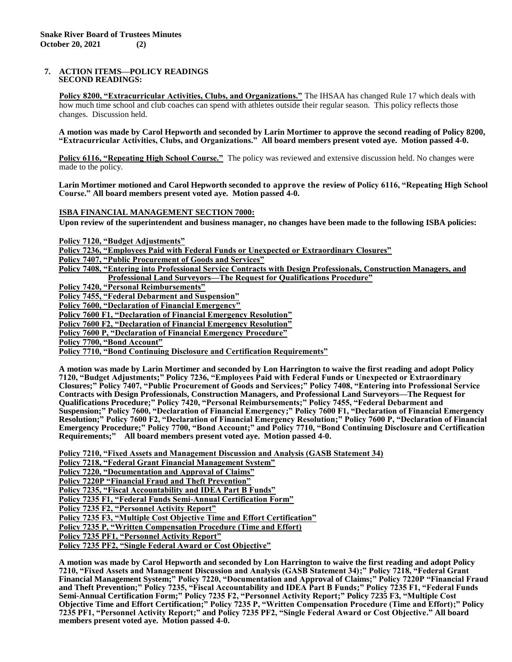#### **7. ACTION ITEMS—POLICY READINGS SECOND READINGS:**

**Policy 8200, "Extracurricular Activities, Clubs, and Organizations."** The IHSAA has changed Rule 17 which deals with how much time school and club coaches can spend with athletes outside their regular season. This policy reflects those changes. Discussion held.

**A motion was made by Carol Hepworth and seconded by Larin Mortimer to approve the second reading of Policy 8200, "Extracurricular Activities, Clubs, and Organizations." All board members present voted aye. Motion passed 4-0.**

**Policy 6116, "Repeating High School Course."** The policy was reviewed and extensive discussion held. No changes were made to the policy.

**Larin Mortimer motioned and Carol Hepworth seconded to approve the review of Policy 6116, "Repeating High School Course." All board members present voted aye. Motion passed 4-0.**

**ISBA FINANCIAL MANAGEMENT SECTION 7000:**

**Upon review of the superintendent and business manager, no changes have been made to the following ISBA policies:**

**Policy 7120, "Budget Adjustments"**

**Policy 7236, "Employees Paid with Federal Funds or Unexpected or Extraordinary Closures"**

**Policy 7407, "Public Procurement of Goods and Services"**

**Policy 7408, "Entering into Professional Service Contracts with Design Professionals, Construction Managers, and Professional Land Surveyors—The Request for Qualifications Procedure"**

**Policy 7420, "Personal Reimbursements"**

**Policy 7455, "Federal Debarment and Suspension"**

**Policy 7600, "Declaration of Financial Emergency"**

**Policy 7600 F1, "Declaration of Financial Emergency Resolution"**

**Policy 7600 F2, "Declaration of Financial Emergency Resolution"**

**Policy 7600 P, "Declaration of Financial Emergency Procedure"**

**Policy 7700, "Bond Account"**

**Policy 7710, "Bond Continuing Disclosure and Certification Requirements"** 

**A motion was made by Larin Mortimer and seconded by Lon Harrington to waive the first reading and adopt Policy 7120, "Budget Adjustments;" Policy 7236, "Employees Paid with Federal Funds or Unexpected or Extraordinary Closures;" Policy 7407, "Public Procurement of Goods and Services;" Policy 7408, "Entering into Professional Service Contracts with Design Professionals, Construction Managers, and Professional Land Surveyors—The Request for Qualifications Procedure;" Policy 7420, "Personal Reimbursements;" Policy 7455, "Federal Debarment and Suspension;" Policy 7600, "Declaration of Financial Emergency;" Policy 7600 F1, "Declaration of Financial Emergency Resolution;" Policy 7600 F2, "Declaration of Financial Emergency Resolution;" Policy 7600 P, "Declaration of Financial Emergency Procedure;" Policy 7700, "Bond Account;" and Policy 7710, "Bond Continuing Disclosure and Certification Requirements;" All board members present voted aye. Motion passed 4-0.**

**Policy 7210, "Fixed Assets and Management Discussion and Analysis (GASB Statement 34)**

**Policy 7218, "Federal Grant Financial Management System"**

**Policy 7220, "Documentation and Approval of Claims"**

**Policy 7220P "Financial Fraud and Theft Prevention"**

**Policy 7235, "Fiscal Accountability and IDEA Part B Funds"**

**Policy 7235 F1, "Federal Funds Semi-Annual Certification Form"**

**Policy 7235 F2, "Personnel Activity Report"**

**Policy 7235 F3, "Multiple Cost Objective Time and Effort Certification"**

**Policy 7235 P, "Written Compensation Procedure (Time and Effort)**

**Policy 7235 PF1, "Personnel Activity Report"**

**Policy 7235 PF2, "Single Federal Award or Cost Objective"**

**A motion was made by Carol Hepworth and seconded by Lon Harrington to waive the first reading and adopt Policy 7210, "Fixed Assets and Management Discussion and Analysis (GASB Statement 34);" Policy 7218, "Federal Grant Financial Management System;" Policy 7220, "Documentation and Approval of Claims;" Policy 7220P "Financial Fraud and Theft Prevention;" Policy 7235, "Fiscal Accountability and IDEA Part B Funds;" Policy 7235 F1, "Federal Funds Semi-Annual Certification Form;" Policy 7235 F2, "Personnel Activity Report;" Policy 7235 F3, "Multiple Cost Objective Time and Effort Certification;" Policy 7235 P, "Written Compensation Procedure (Time and Effort);" Policy 7235 PF1, "Personnel Activity Report;" and Policy 7235 PF2, "Single Federal Award or Cost Objective." All board members present voted aye. Motion passed 4-0.**